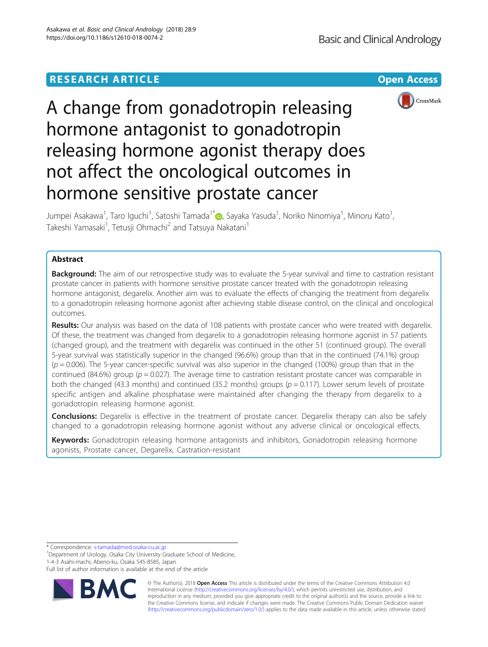# **RESEARCH ARTICLE Example 2014 12:30 The Contract of Contract ACCESS**



# A change from gonadotropin releasing hormone antagonist to gonadotropin releasing hormone agonist therapy does not affect the oncological outcomes in hormone sensitive prostate cancer

Jumpei Asakawa<sup>1</sup>[,](http://orcid.org/0000-0002-7102-3408) Taro Iguchi<sup>1</sup>, Satoshi Tamada<sup>1\*</sup>@, Sayaka Yasuda<sup>1</sup>, Noriko Ninomiya<sup>1</sup>, Minoru Kato<sup>1</sup> , Takeshi Yamasaki<sup>1</sup>, Tetusji Ohmachi<sup>2</sup> and Tatsuya Nakatani<sup>1</sup>

# Abstract

**Background:** The aim of our retrospective study was to evaluate the 5-year survival and time to castration resistant prostate cancer in patients with hormone sensitive prostate cancer treated with the gonadotropin releasing hormone antagonist, degarelix. Another aim was to evaluate the effects of changing the treatment from degarelix to a gonadotropin releasing hormone agonist after achieving stable disease control, on the clinical and oncological outcomes.

Results: Our analysis was based on the data of 108 patients with prostate cancer who were treated with degarelix. Of these, the treatment was changed from degarelix to a gonadotropin releasing hormone agonist in 57 patients (changed group), and the treatment with degarelix was continued in the other 51 (continued group). The overall 5-year survival was statistically superior in the changed (96.6%) group than that in the continued (74.1%) group  $(p = 0.006)$ . The 5-year cancer-specific survival was also superior in the changed (100%) group than that in the continued (84.6%) group ( $p = 0.027$ ). The average time to castration resistant prostate cancer was comparable in both the changed (43.3 months) and continued (35.2 months) groups ( $p = 0.117$ ). Lower serum levels of prostate specific antigen and alkaline phosphatase were maintained after changing the therapy from degarelix to a gonadotropin releasing hormone agonist.

**Conclusions:** Degarelix is effective in the treatment of prostate cancer. Degarelix therapy can also be safely changed to a gonadotropin releasing hormone agonist without any adverse clinical or oncological effects.

Keywords: Gonadotropin releasing hormone antagonists and inhibitors, Gonadotropin releasing hormone agonists, Prostate cancer, Degarelix, Castration-resistant

\* Correspondence: [s-tamada@med.osaka-cu.ac.jp](mailto:s-tamada@med.osaka-cu.ac.jp) <sup>1</sup>

<sup>1</sup>Department of Urology, Osaka City University Graduate School of Medicine, 1-4-3 Asahi-machi, Abeno-ku, Osaka 545-8585, Japan

Full list of author information is available at the end of the article



© The Author(s). 2018 Open Access This article is distributed under the terms of the Creative Commons Attribution 4.0 International License [\(http://creativecommons.org/licenses/by/4.0/](http://creativecommons.org/licenses/by/4.0/)), which permits unrestricted use, distribution, and reproduction in any medium, provided you give appropriate credit to the original author(s) and the source, provide a link to the Creative Commons license, and indicate if changes were made. The Creative Commons Public Domain Dedication waiver [\(http://creativecommons.org/publicdomain/zero/1.0/](http://creativecommons.org/publicdomain/zero/1.0/)) applies to the data made available in this article, unless otherwise stated.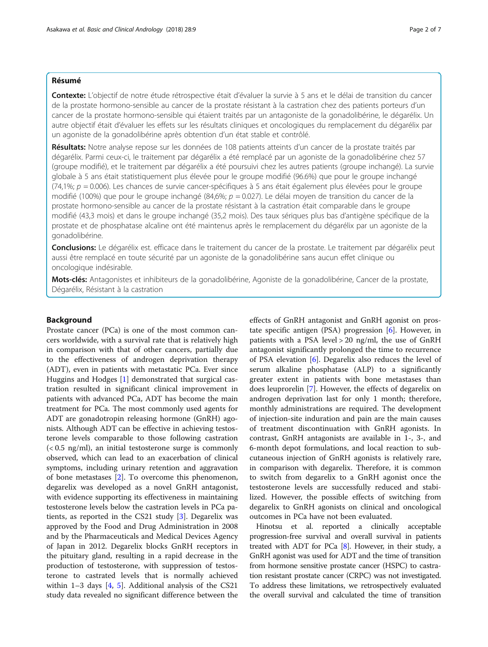# Résumé

Contexte: L'objectif de notre étude rétrospective était d'évaluer la survie à 5 ans et le délai de transition du cancer de la prostate hormono-sensible au cancer de la prostate résistant à la castration chez des patients porteurs d'un cancer de la prostate hormono-sensible qui étaient traités par un antagoniste de la gonadolibérine, le dégarélix. Un autre objectif était d'évaluer les effets sur les résultats cliniques et oncologiques du remplacement du dégarélix par un agoniste de la gonadolibérine après obtention d'un état stable et contrôlé.

Résultats: Notre analyse repose sur les données de 108 patients atteints d'un cancer de la prostate traités par dégarélix. Parmi ceux-ci, le traitement par dégarélix a été remplacé par un agoniste de la gonadolibérine chez 57 (groupe modifié), et le traitement par dégarélix a été poursuivi chez les autres patients (groupe inchangé). La survie globale à 5 ans était statistiquement plus élevée pour le groupe modifié (96.6%) que pour le groupe inchangé  $(74,1\%)$ ;  $p = 0.006$ ). Les chances de survie cancer-spécifiques à 5 ans était également plus élevées pour le groupe modifié (100%) que pour le groupe inchangé (84,6%;  $p = 0.027$ ). Le délai moyen de transition du cancer de la prostate hormono-sensible au cancer de la prostate résistant à la castration était comparable dans le groupe modifié (43,3 mois) et dans le groupe inchangé (35,2 mois). Des taux sériques plus bas d'antigène spécifique de la prostate et de phosphatase alcaline ont été maintenus après le remplacement du dégarélix par un agoniste de la gonadolibérine.

Conclusions: Le dégarélix est. efficace dans le traitement du cancer de la prostate. Le traitement par dégarélix peut aussi être remplacé en toute sécurité par un agoniste de la gonadolibérine sans aucun effet clinique ou oncologique indésirable.

Mots-clés: Antagonistes et inhibiteurs de la gonadolibérine, Agoniste de la gonadolibérine, Cancer de la prostate, Dégarélix, Résistant à la castration

## Background

Prostate cancer (PCa) is one of the most common cancers worldwide, with a survival rate that is relatively high in comparison with that of other cancers, partially due to the effectiveness of androgen deprivation therapy (ADT), even in patients with metastatic PCa. Ever since Huggins and Hodges [\[1](#page-5-0)] demonstrated that surgical castration resulted in significant clinical improvement in patients with advanced PCa, ADT has become the main treatment for PCa. The most commonly used agents for ADT are gonadotropin releasing hormone (GnRH) agonists. Although ADT can be effective in achieving testosterone levels comparable to those following castration  $\approx$  0.5 ng/ml), an initial testosterone surge is commonly observed, which can lead to an exacerbation of clinical symptoms, including urinary retention and aggravation of bone metastases [\[2\]](#page-5-0). To overcome this phenomenon, degarelix was developed as a novel GnRH antagonist, with evidence supporting its effectiveness in maintaining testosterone levels below the castration levels in PCa patients, as reported in the CS21 study [[3\]](#page-5-0). Degarelix was approved by the Food and Drug Administration in 2008 and by the Pharmaceuticals and Medical Devices Agency of Japan in 2012. Degarelix blocks GnRH receptors in the pituitary gland, resulting in a rapid decrease in the production of testosterone, with suppression of testosterone to castrated levels that is normally achieved within  $1-3$  days  $[4, 5]$  $[4, 5]$  $[4, 5]$  $[4, 5]$ . Additional analysis of the CS21 study data revealed no significant difference between the

effects of GnRH antagonist and GnRH agonist on prostate specific antigen (PSA) progression [\[6](#page-5-0)]. However, in patients with a PSA level  $>$  20 ng/ml, the use of GnRH antagonist significantly prolonged the time to recurrence of PSA elevation [\[6\]](#page-5-0). Degarelix also reduces the level of serum alkaline phosphatase (ALP) to a significantly greater extent in patients with bone metastases than does leuprorelin [[7](#page-5-0)]. However, the effects of degarelix on androgen deprivation last for only 1 month; therefore, monthly administrations are required. The development of injection-site induration and pain are the main causes of treatment discontinuation with GnRH agonists. In contrast, GnRH antagonists are available in 1-, 3-, and 6-month depot formulations, and local reaction to subcutaneous injection of GnRH agonists is relatively rare, in comparison with degarelix. Therefore, it is common to switch from degarelix to a GnRH agonist once the testosterone levels are successfully reduced and stabilized. However, the possible effects of switching from degarelix to GnRH agonists on clinical and oncological outcomes in PCa have not been evaluated.

Hinotsu et al. reported a clinically acceptable progression-free survival and overall survival in patients treated with ADT for PCa [\[8\]](#page-6-0). However, in their study, a GnRH agonist was used for ADT and the time of transition from hormone sensitive prostate cancer (HSPC) to castration resistant prostate cancer (CRPC) was not investigated. To address these limitations, we retrospectively evaluated the overall survival and calculated the time of transition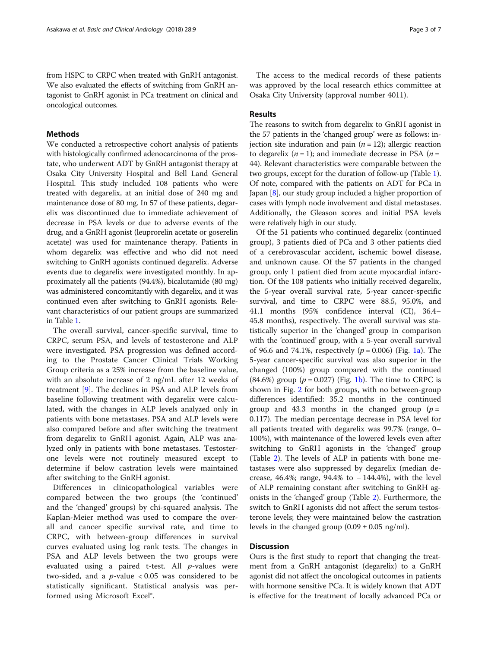from HSPC to CRPC when treated with GnRH antagonist. We also evaluated the effects of switching from GnRH antagonist to GnRH agonist in PCa treatment on clinical and oncological outcomes.

# Methods

We conducted a retrospective cohort analysis of patients with histologically confirmed adenocarcinoma of the prostate, who underwent ADT by GnRH antagonist therapy at Osaka City University Hospital and Bell Land General Hospital. This study included 108 patients who were treated with degarelix, at an initial dose of 240 mg and maintenance dose of 80 mg. In 57 of these patients, degarelix was discontinued due to immediate achievement of decrease in PSA levels or due to adverse events of the drug, and a GnRH agonist (leuprorelin acetate or goserelin acetate) was used for maintenance therapy. Patients in whom degarelix was effective and who did not need switching to GnRH agonists continued degarelix. Adverse events due to degarelix were investigated monthly. In approximately all the patients (94.4%), bicalutamide (80 mg) was administered concomitantly with degarelix, and it was continued even after switching to GnRH agonists. Relevant characteristics of our patient groups are summarized in Table [1](#page-3-0).

The overall survival, cancer-specific survival, time to CRPC, serum PSA, and levels of testosterone and ALP were investigated. PSA progression was defined according to the Prostate Cancer Clinical Trials Working Group criteria as a 25% increase from the baseline value, with an absolute increase of 2 ng/mL after 12 weeks of treatment [\[9](#page-6-0)]. The declines in PSA and ALP levels from baseline following treatment with degarelix were calculated, with the changes in ALP levels analyzed only in patients with bone metastases. PSA and ALP levels were also compared before and after switching the treatment from degarelix to GnRH agonist. Again, ALP was analyzed only in patients with bone metastases. Testosterone levels were not routinely measured except to determine if below castration levels were maintained after switching to the GnRH agonist.

Differences in clinicopathological variables were compared between the two groups (the 'continued' and the 'changed' groups) by chi-squared analysis. The Kaplan-Meier method was used to compare the overall and cancer specific survival rate, and time to CRPC, with between-group differences in survival curves evaluated using log rank tests. The changes in PSA and ALP levels between the two groups were evaluated using a paired t-test. All  $p$ -values were two-sided, and a  $p$ -value  $<0.05$  was considered to be statistically significant. Statistical analysis was performed using Microsoft Excel®.

The access to the medical records of these patients was approved by the local research ethics committee at Osaka City University (approval number 4011).

# Results

The reasons to switch from degarelix to GnRH agonist in the 57 patients in the 'changed group' were as follows: injection site induration and pain  $(n = 12)$ ; allergic reaction to degarelix  $(n = 1)$ ; and immediate decrease in PSA  $(n = 1)$ 44). Relevant characteristics were comparable between the two groups, except for the duration of follow-up (Table [1](#page-3-0)). Of note, compared with the patients on ADT for PCa in Japan [[8](#page-6-0)], our study group included a higher proportion of cases with lymph node involvement and distal metastases. Additionally, the Gleason scores and initial PSA levels were relatively high in our study.

Of the 51 patients who continued degarelix (continued group), 3 patients died of PCa and 3 other patients died of a cerebrovascular accident, ischemic bowel disease, and unknown cause. Of the 57 patients in the changed group, only 1 patient died from acute myocardial infarction. Of the 108 patients who initially received degarelix, the 5-year overall survival rate, 5-year cancer-specific survival, and time to CRPC were 88.5, 95.0%, and 41.1 months (95% confidence interval (CI), 36.4– 45.8 months), respectively. The overall survival was statistically superior in the 'changed' group in comparison with the 'continued' group, with a 5-year overall survival of 96.6 and 74.1%, respectively ( $p = 0.006$ ) (Fig. [1a](#page-4-0)). The 5-year cancer-specific survival was also superior in the changed (100%) group compared with the continued  $(84.6%)$  group ( $p = 0.027$ ) (Fig. [1b\)](#page-4-0). The time to CRPC is shown in Fig. [2](#page-4-0) for both groups, with no between-group differences identified: 35.2 months in the continued group and 43.3 months in the changed group  $(p =$ 0.117). The median percentage decrease in PSA level for all patients treated with degarelix was 99.7% (range, 0– 100%), with maintenance of the lowered levels even after switching to GnRH agonists in the 'changed' group (Table [2\)](#page-5-0). The levels of ALP in patients with bone metastases were also suppressed by degarelix (median decrease, 46.4%; range, 94.4% to − 144.4%), with the level of ALP remaining constant after switching to GnRH agonists in the 'changed' group (Table [2\)](#page-5-0). Furthermore, the switch to GnRH agonists did not affect the serum testosterone levels; they were maintained below the castration levels in the changed group  $(0.09 \pm 0.05 \text{ ng/ml})$ .

## **Discussion**

Ours is the first study to report that changing the treatment from a GnRH antagonist (degarelix) to a GnRH agonist did not affect the oncological outcomes in patients with hormone sensitive PCa. It is widely known that ADT is effective for the treatment of locally advanced PCa or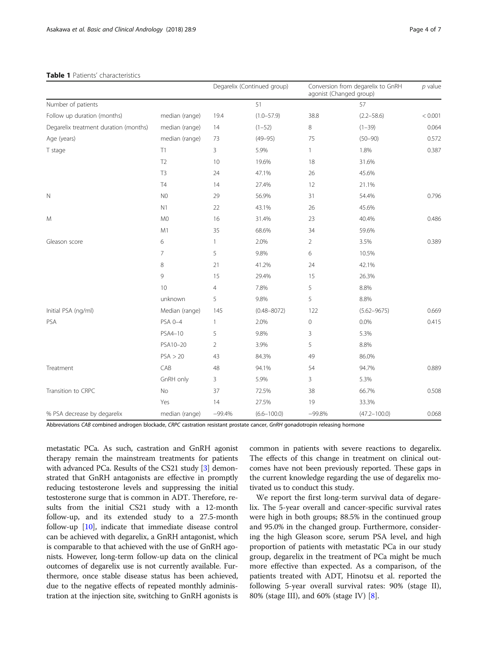| Page 4 of |
|-----------|
|           |

<span id="page-3-0"></span>

|                                       |                | Degarelix (Continued group) |                 | Conversion from degarelix to GnRH<br>agonist (Changed group) |                  | $p$ value |
|---------------------------------------|----------------|-----------------------------|-----------------|--------------------------------------------------------------|------------------|-----------|
| Number of patients                    |                |                             | 51              |                                                              | 57               |           |
| Follow up duration (months)           | median (range) | 19.4                        | $(1.0 - 57.9)$  | 38.8                                                         | $(2.2 - 58.6)$   | < 0.001   |
| Degarelix treatment duration (months) | median (range) | 14                          | $(1-52)$        | 8                                                            | $(1 - 39)$       | 0.064     |
| Age (years)                           | median (range) | 73                          | $(49 - 95)$     | 75                                                           | $(50 - 90)$      | 0.572     |
| T stage                               | T1             | 3                           | 5.9%            | $\mathbf{1}$                                                 | 1.8%             | 0.387     |
|                                       | T <sub>2</sub> | 10                          | 19.6%           | 18                                                           | 31.6%            |           |
|                                       | T <sub>3</sub> | 24                          | 47.1%           | 26                                                           | 45.6%            |           |
|                                       | T <sub>4</sub> | 14                          | 27.4%           | 12                                                           | 21.1%            |           |
| $\mathbb N$                           | N <sub>0</sub> | 29                          | 56.9%           | 31                                                           | 54.4%            | 0.796     |
|                                       | N1             | 22                          | 43.1%           | 26                                                           | 45.6%            |           |
| M                                     | M <sub>0</sub> | 16                          | 31.4%           | 23                                                           | 40.4%            | 0.486     |
|                                       | M1             | 35                          | 68.6%           | 34                                                           | 59.6%            |           |
| Gleason score                         | 6              | 1                           | 2.0%            | $\overline{2}$                                               | 3.5%             | 0.389     |
|                                       | $\overline{7}$ | 5                           | 9.8%            | 6                                                            | 10.5%            |           |
|                                       | 8              | 21                          | 41.2%           | 24                                                           | 42.1%            |           |
|                                       | 9              | 15                          | 29.4%           | 15                                                           | 26.3%            |           |
|                                       | 10             | $\overline{4}$              | 7.8%            | 5                                                            | 8.8%             |           |
|                                       | unknown        | 5                           | 9.8%            | 5                                                            | 8.8%             |           |
| Initial PSA (ng/ml)                   | Median (range) | 145                         | $(0.48 - 8072)$ | 122                                                          | $(5.62 - 9675)$  | 0.669     |
| PSA                                   | PSA 0-4        | $\mathbf{1}$                | 2.0%            | $\mathbf 0$                                                  | 0.0%             | 0.415     |
|                                       | PSA4-10        | 5                           | 9.8%            | 3                                                            | 5.3%             |           |
|                                       | PSA10-20       | $\overline{2}$              | 3.9%            | 5                                                            | 8.8%             |           |
|                                       | PSA > 20       | 43                          | 84.3%           | 49                                                           | 86.0%            |           |
| Treatment                             | CAB            | 48                          | 94.1%           | 54                                                           | 94.7%            | 0.889     |
|                                       | GnRH only      | 3                           | 5.9%            | 3                                                            | 5.3%             |           |
| Transition to CRPC                    | No             | 37                          | 72.5%           | 38                                                           | 66.7%            | 0.508     |
|                                       | Yes            | 14                          | 27.5%           | 19                                                           | 33.3%            |           |
| % PSA decrease by degarelix           | median (range) | $-99.4%$                    | $(6.6 - 100.0)$ | $-99.8%$                                                     | $(47.2 - 100.0)$ | 0.068     |

Abbreviations CAB combined androgen blockade, CRPC castration resistant prostate cancer, GnRH gonadotropin releasing hormone

metastatic PCa. As such, castration and GnRH agonist therapy remain the mainstream treatments for patients with advanced PCa. Results of the CS21 study [\[3](#page-5-0)] demonstrated that GnRH antagonists are effective in promptly reducing testosterone levels and suppressing the initial testosterone surge that is common in ADT. Therefore, results from the initial CS21 study with a 12-month follow-up, and its extended study to a 27.5-month follow-up [\[10\]](#page-6-0), indicate that immediate disease control can be achieved with degarelix, a GnRH antagonist, which is comparable to that achieved with the use of GnRH agonists. However, long-term follow-up data on the clinical outcomes of degarelix use is not currently available. Furthermore, once stable disease status has been achieved, due to the negative effects of repeated monthly administration at the injection site, switching to GnRH agonists is common in patients with severe reactions to degarelix. The effects of this change in treatment on clinical outcomes have not been previously reported. These gaps in the current knowledge regarding the use of degarelix motivated us to conduct this study.

We report the first long-term survival data of degarelix. The 5-year overall and cancer-specific survival rates were high in both groups; 88.5% in the continued group and 95.0% in the changed group. Furthermore, considering the high Gleason score, serum PSA level, and high proportion of patients with metastatic PCa in our study group, degarelix in the treatment of PCa might be much more effective than expected. As a comparison, of the patients treated with ADT, Hinotsu et al. reported the following 5-year overall survival rates: 90% (stage II), 80% (stage III), and 60% (stage IV) [[8\]](#page-6-0).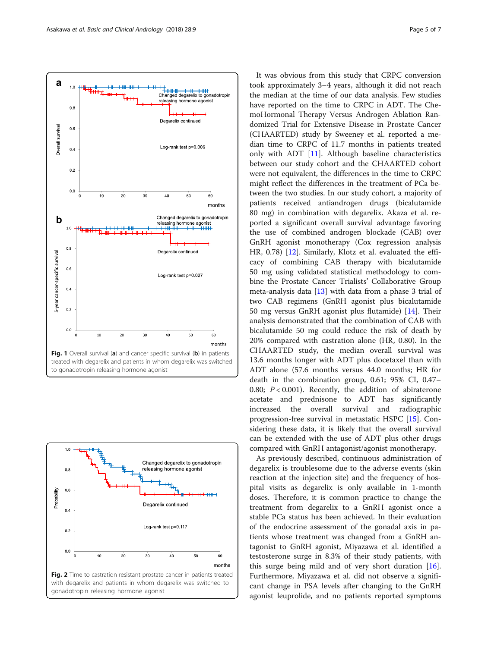<span id="page-4-0"></span>





It was obvious from this study that CRPC conversion took approximately 3–4 years, although it did not reach the median at the time of our data analysis. Few studies have reported on the time to CRPC in ADT. The ChemoHormonal Therapy Versus Androgen Ablation Randomized Trial for Extensive Disease in Prostate Cancer (CHAARTED) study by Sweeney et al. reported a median time to CRPC of 11.7 months in patients treated only with ADT [[11\]](#page-6-0). Although baseline characteristics between our study cohort and the CHAARTED cohort were not equivalent, the differences in the time to CRPC might reflect the differences in the treatment of PCa between the two studies. In our study cohort, a majority of patients received antiandrogen drugs (bicalutamide 80 mg) in combination with degarelix. Akaza et al. reported a significant overall survival advantage favoring the use of combined androgen blockade (CAB) over GnRH agonist monotherapy (Cox regression analysis HR, 0.78) [[12\]](#page-6-0). Similarly, Klotz et al. evaluated the efficacy of combining CAB therapy with bicalutamide 50 mg using validated statistical methodology to combine the Prostate Cancer Trialists' Collaborative Group meta-analysis data [[13\]](#page-6-0) with data from a phase 3 trial of two CAB regimens (GnRH agonist plus bicalutamide 50 mg versus GnRH agonist plus flutamide) [\[14](#page-6-0)]. Their analysis demonstrated that the combination of CAB with bicalutamide 50 mg could reduce the risk of death by 20% compared with castration alone (HR, 0.80). In the CHAARTED study, the median overall survival was 13.6 months longer with ADT plus docetaxel than with ADT alone (57.6 months versus 44.0 months; HR for death in the combination group, 0.61; 95% CI, 0.47– 0.80;  $P < 0.001$ ). Recently, the addition of abiraterone acetate and prednisone to ADT has significantly increased the overall survival and radiographic progression-free survival in metastatic HSPC [[15\]](#page-6-0). Considering these data, it is likely that the overall survival can be extended with the use of ADT plus other drugs compared with GnRH antagonist/agonist monotherapy.

As previously described, continuous administration of degarelix is troublesome due to the adverse events (skin reaction at the injection site) and the frequency of hospital visits as degarelix is only available in 1-month doses. Therefore, it is common practice to change the treatment from degarelix to a GnRH agonist once a stable PCa status has been achieved. In their evaluation of the endocrine assessment of the gonadal axis in patients whose treatment was changed from a GnRH antagonist to GnRH agonist, Miyazawa et al. identified a testosterone surge in 8.3% of their study patients, with this surge being mild and of very short duration [\[16](#page-6-0)]. Furthermore, Miyazawa et al. did not observe a significant change in PSA levels after changing to the GnRH agonist leuprolide, and no patients reported symptoms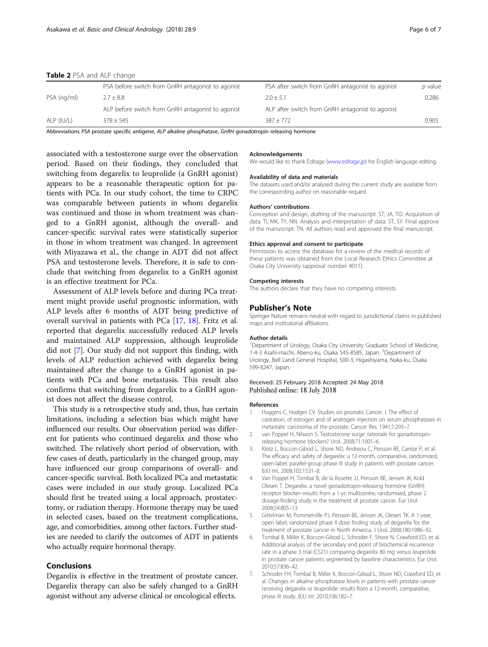<span id="page-5-0"></span>Table 2 PSA and ALP change

|             | PSA before switch from GnRH antagonist to agonist | PSA after switch from GnRH antagonist to agonist | p value |
|-------------|---------------------------------------------------|--------------------------------------------------|---------|
| PSA (ng/ml) | $2.7 + 8.8$                                       | $2.0 + 5.1$                                      | 0.286   |
|             | ALP before switch from GnRH antagonist to agonist | ALP after switch from GnRH antagonist to agonist |         |
| ALP (IU/L)  | $378 + 545$                                       | $387 + 772$                                      | 0.905   |

Abbreviations PSA prostate specific antigene, ALP alkaline phosphatase, GnRH gonadotropin releasing hormone

associated with a testosterone surge over the observation period. Based on their findings, they concluded that switching from degarelix to leuprolide (a GnRH agonist) appears to be a reasonable therapeutic option for patients with PCa. In our study cohort, the time to CRPC was comparable between patients in whom degarelix was continued and those in whom treatment was changed to a GnRH agonist, although the overall- and cancer-specific survival rates were statistically superior in those in whom treatment was changed. In agreement with Miyazawa et al., the change in ADT did not affect PSA and testosterone levels. Therefore, it is safe to conclude that switching from degarelix to a GnRH agonist is an effective treatment for PCa.

Assessment of ALP levels before and during PCa treatment might provide useful prognostic information, with ALP levels after 6 months of ADT being predictive of overall survival in patients with PCa [\[17,](#page-6-0) [18](#page-6-0)]. Fritz et al. reported that degarelix successfully reduced ALP levels and maintained ALP suppression, although leuprolide did not [7]. Our study did not support this finding, with levels of ALP reduction achieved with degarelix being maintained after the change to a GnRH agonist in patients with PCa and bone metastasis. This result also confirms that switching from degarelix to a GnRH agonist does not affect the disease control.

This study is a retrospective study and, thus, has certain limitations, including a selection bias which might have influenced our results. Our observation period was different for patients who continued degarelix and those who switched. The relatively short period of observation, with few cases of death, particularly in the changed group, may have influenced our group comparisons of overall- and cancer-specific survival. Both localized PCa and metastatic cases were included in our study group. Localized PCa should first be treated using a local approach, prostatectomy, or radiation therapy. Hormone therapy may be used in selected cases, based on the treatment complications, age, and comorbidities, among other factors. Further studies are needed to clarify the outcomes of ADT in patients who actually require hormonal therapy.

## Conclusions

Degarelix is effective in the treatment of prostate cancer. Degarelix therapy can also be safely changed to a GnRH agonist without any adverse clinical or oncological effects.

#### Acknowledgements

We would like to thank Editage [\(www.editage.jp\)](http://www.editage.jp) for English language editing.

#### Availability of data and materials

The datasets used and/or analysed during the current study are available from the corresponding author on reasonable request.

#### Authors' contributions

Conception and design, drafting of the manuscript: ST, JA, TO. Acquisition of data: TI, MK, TY, NN. Analysis and interpretation of data: ST, SY. Final approve of the manuscript: TN. All authors read and approved the final manuscript.

### Ethics approval and consent to participate

Permission to access the database for a review of the medical records of these patients was obtained from the Local Research Ethics Committee at Osaka City University (approval number 4011).

#### Competing interests

The authors declare that they have no competing interests.

#### Publisher's Note

Springer Nature remains neutral with regard to jurisdictional claims in published maps and institutional affiliations.

#### Author details

<sup>1</sup>Department of Urology, Osaka City University Graduate School of Medicine, 1-4-3 Asahi-machi, Abeno-ku, Osaka 545-8585, Japan. <sup>2</sup> Department of Urology, Bell Land General Hospital, 500-3, Higashiyama, Naka-ku, Osaka 599-8247, Japan.

#### Received: 25 February 2018 Accepted: 24 May 2018 Published online: 18 July 2018

### References

- 1. Huggins C, Hodges CV. Studies on prostatic Cancer. I. The effect of castration, of estrogen and of androgen injection on serum phosphatases in metastatic carcinoma of the prostate. Cancer Res. 1941;1:293–7.
- 2. van Poppel H, Nilsson S. Testosterone surge: rationale for gonadotropinreleasing hormone blockers? Urol. 2008;71:1001–6.
- 3. Klotz L, Boccon-Gibod L, Shore ND, Andreou C, Persson BE, Cantor P, et al. The efficacy and safety of degarelix: a 12-month, comparative, randomized, open-label, parallel-group phase III study in patients with prostate cancer. BJU Int. 2008;102:1531–8.
- Van Poppel H, Tombal B, de la Rosette JJ, Persson BE, Jensen JK, Kold Olesen T. Degarelix: a novel gonadotropin-releasing hormone (GnRH) receptor blocker–results from a 1-yr, multicentre, randomised, phase 2 dosage-finding study in the treatment of prostate cancer. Eur Urol. 2008;54:805–13.
- 5. Gittelman M, Pommerville PJ, Persson BE, Jensen JK, Olesen TK. A 1-year, open label, randomized phase II dose finding study of degarelix for the treatment of prostate cancer in North America. J Urol. 2008;180:1986–92.
- 6. Tombal B, Miller K, Boccon-Gibod L, Schroder F, Shore N, Crawford ED, et al. Additional analysis of the secondary end point of biochemical recurrence rate in a phase 3 trial (CS21) comparing degarelix 80 mg versus leuprolide in prostate cancer patients segmented by baseline characteristics. Eur Urol. 2010;57:836–42.
- 7. Schroder FH, Tombal B, Miller K, Boccon-Gibod L, Shore ND, Crawford ED, et al. Changes in alkaline phosphatase levels in patients with prostate cancer receiving degarelix or leuprolide: results from a 12-month, comparative, phase III study. BJU Int. 2010;106:182–7.